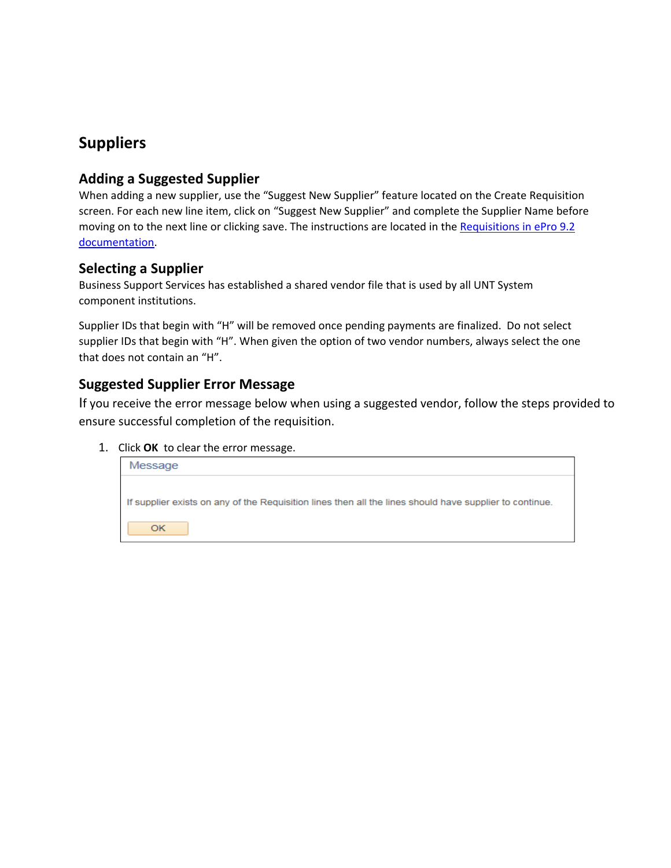# **Suppliers**

## **Adding a Suggested Supplier**

When adding a new supplier, use the "Suggest New Supplier" feature located on the Create Requisition screen. For each new line item, click on "Suggest New Supplier" and complete the Supplier Name before moving on to the next line or clicking save. The instructions are located in the Requisitions in ePro 9.2 documentation.

#### **Selecting a Supplier**

Business Support Services has established a shared vendor file that is used by all UNT System component institutions.

Supplier IDs that begin with "H" will be removed once pending payments are finalized. Do not select supplier IDs that begin with "H". When given the option of two vendor numbers, always select the one that does not contain an "H".

## **Suggested Supplier Error Message**

If you receive the error message below when using a suggested vendor, follow the steps provided to ensure successful completion of the requisition.

#### 1. Click **OK** to clear the error message.

| Message                                                                                                 |
|---------------------------------------------------------------------------------------------------------|
| If supplier exists on any of the Requisition lines then all the lines should have supplier to continue. |
| ОΚ                                                                                                      |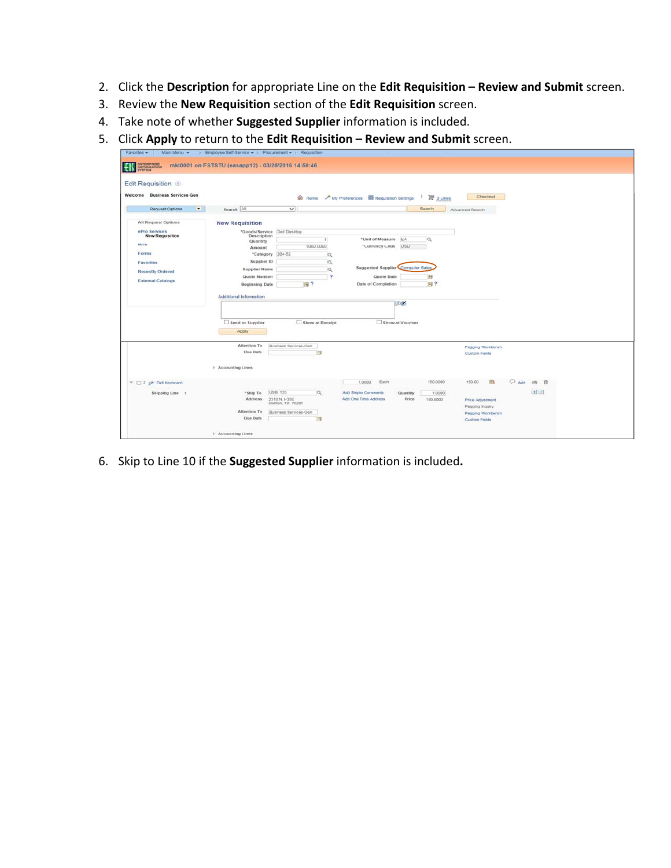- 2. Click the **Description** for appropriate Line on the **Edit Requisition – Review and Submit** screen.
- 3. Review the **New Requisition** section of the **Edit Requisition** screen.
- 4. Take note of whether **Suggested Supplier** information is included.
- 5. Click **Apply** to return to the **Edit Requisition – Review and Submit** screen.

| Edit Requisition 2<br><b>Business Services-Gen</b><br>Welcome                                                               |                                                                                                                                                                                                       |                                                                                    | tome / My Preferences <b>100</b> Requisition Settings                                                                                        | <sup>■</sup> 3 Lines                                | Checkout                                                                        |                                       |  |
|-----------------------------------------------------------------------------------------------------------------------------|-------------------------------------------------------------------------------------------------------------------------------------------------------------------------------------------------------|------------------------------------------------------------------------------------|----------------------------------------------------------------------------------------------------------------------------------------------|-----------------------------------------------------|---------------------------------------------------------------------------------|---------------------------------------|--|
| Request Options                                                                                                             | Search All                                                                                                                                                                                            | $\checkmark$                                                                       |                                                                                                                                              | Search                                              | Advanced Search                                                                 |                                       |  |
| <b>All Request Options</b>                                                                                                  | <b>New Requisition</b>                                                                                                                                                                                |                                                                                    |                                                                                                                                              |                                                     |                                                                                 |                                       |  |
| ePro Services<br><b>New Requisition</b><br>Web<br>Forms<br>Favorites<br><b>Recently Ordered</b><br><b>External Catalogs</b> | *Goods/Service Dell Desktop<br>Description<br>Quantity<br>Amount<br>*Category 204-52<br>Supplier ID<br><b>Supplier Name</b><br>Quote Number<br><b>Beginning Date</b><br><b>Additional Information</b> | $\mathbf{I}$<br>1000 0000<br>$\alpha$<br>Q<br>a<br>$\overline{\mathbf{r}}$<br>国?   | EA<br>*Unit of Measure:<br>"Currency Code USD<br><b>Suggested Supplier Computer Sales</b><br>Quote Date<br>Date of Completion<br><b>ENGE</b> | a<br>$\overline{1}$<br>$\mathbb{R}$ ?               |                                                                                 |                                       |  |
|                                                                                                                             | Send to Supplier<br>Apply<br>Attention To<br>Due Date<br>Accounting Lines                                                                                                                             | Show at Receipt<br>Business Services-Gen<br>园                                      | Show at Voucher                                                                                                                              |                                                     | Pegging Workbench<br>Custom Fields                                              |                                       |  |
| $\mathcal{V} \Box$ 2 ga Del Keyboard<br>Shipping Line 1                                                                     | *Ship To<br>Address<br>Attention To                                                                                                                                                                   | jUSB 135<br>$\alpha$<br>2310 N. I-35E<br>Denton, TX 76201<br>Business Services-Gen | Each<br>1.0000<br>Add Shipto Comments<br>Add One Time Address                                                                                | 150.0000<br>Quantity<br>1.0000<br>Price<br>150,0000 | 150.00<br>83<br><b>Price Adjustment</b><br>Pegging Inquiry<br>Pegging Workbench | $O$ Add $\otimes$ $\otimes$<br>$+(-)$ |  |

6. Skip to Line 10 if the **Suggested Supplier** information is included**.**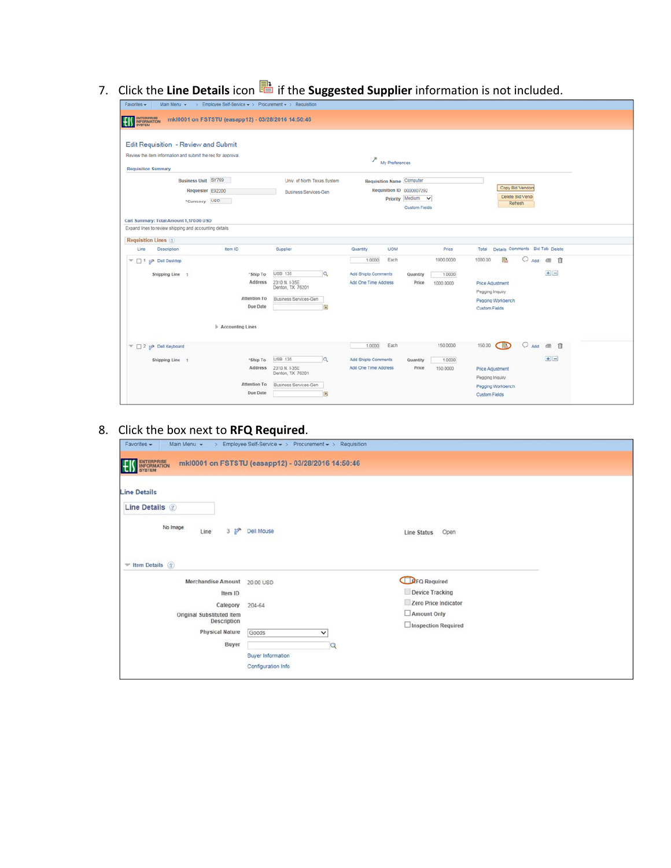7. Click the Line Details icon **a** if the Suggested Supplier information is not included.

| Main Menu $\star$ > Employee Self-Service $\star$ > Procurement $\star$ > Requisition<br>Favorites -                                                                                           |                                                                                                         |                                                                                                                                  |                                                                                                                              |
|------------------------------------------------------------------------------------------------------------------------------------------------------------------------------------------------|---------------------------------------------------------------------------------------------------------|----------------------------------------------------------------------------------------------------------------------------------|------------------------------------------------------------------------------------------------------------------------------|
| ENTERPRISE<br>INFORMATION<br>SYSTEM<br>mkl0001 on FSTSTU (easapp12) - 03/28/2016 14:50:46<br>ΗI                                                                                                |                                                                                                         |                                                                                                                                  |                                                                                                                              |
| Edit Requisition - Review and Submit<br>Review the item information and submit the req for approval.<br><b>Requisition Summary</b><br>Business Unit SY769<br>Requester E92200<br>*Currency USD | Univ. of North Texas System<br><b>Business Services-Gen</b>                                             | $*$ My Preferences<br><b>Requisition Name Computer</b><br>Requisition ID 0000007292<br>Priority Medium v<br><b>Custom Fields</b> | Copy Bid Vendors<br>Delete Bid Vend<br>Refresh                                                                               |
| Cart Summary: Total Amount 1,170.00 USD<br>Expand lines to review shipping and accounting details                                                                                              |                                                                                                         |                                                                                                                                  |                                                                                                                              |
| <b>Requisition Lines</b> (?)                                                                                                                                                                   |                                                                                                         |                                                                                                                                  |                                                                                                                              |
| Item ID<br>Line<br>Description                                                                                                                                                                 | Supplier                                                                                                | <b>UOM</b><br>Quantity<br>Price                                                                                                  | Details Comments Bid Tab Delete<br>Total                                                                                     |
| v.<br>1 se Dell Desktop<br>Shipping Line 1<br>*Ship To<br>Address<br><b>Attention To</b><br>Due Date<br>Accounting Lines                                                                       | <b>USB 135</b><br>$\alpha$<br>2310 N. I-35E<br>Denton, TX 76201<br>Business Services-Gen<br><b>Fil</b>  | Each<br>1000.0000<br>1.0000<br>Add Shipto Comments<br>Quantity<br>1.0000<br>Add One Time Address<br>Price<br>1000.0000           | 1000.00<br>颫<br>一自<br>凿<br>Add<br>$+1 -$<br>Price Adjustment<br>Pegging Inquiry<br>Pegging Workbench<br><b>Custom Fields</b> |
| 2 gp Dell Keyboard<br>$\overline{\mathcal{M}}$                                                                                                                                                 |                                                                                                         | Each<br>150.0000<br>1,0000                                                                                                       | 150.00<br>凿<br>一自<br>Add                                                                                                     |
| Shipping Line 1<br>*Ship To<br>Address                                                                                                                                                         | <b>USB 135</b><br>Q<br>2310 N. I-35E<br>Denton, TX 76201                                                | Add Shipto Comments<br>Quantity<br>1.0000<br>Add One Time Address<br>Price<br>150,0000                                           | $+$ $-$<br>Price Adjustment<br>Pegging Inquiry                                                                               |
| Attention To<br>Due Date                                                                                                                                                                       | Business Services-Gen<br>$\begin{bmatrix} \overline{\mathbf{H}} \\ \overline{\mathbf{H}} \end{bmatrix}$ |                                                                                                                                  | Pegging Workbench<br><b>Custom Fields</b>                                                                                    |

# 8. Click the box next to **RFQ Required**.

| Main Menu -<br>Favorites -<br>$\rightarrow$                                                                                            | Employee Self-Service · > Procurement · > Requisition                                                |                                                                                                      |  |
|----------------------------------------------------------------------------------------------------------------------------------------|------------------------------------------------------------------------------------------------------|------------------------------------------------------------------------------------------------------|--|
| ENTERPRISE                                                                                                                             | mkl0001 on FSTSTU (easapp12) - 03/28/2016 14:50:46                                                   |                                                                                                      |  |
| <b>Line Details</b><br>Line Details 2<br>No Image<br>$3 \frac{99}{10}$<br>Line<br>$\blacktriangledown$ Item Details ?                  | Dell Mouse                                                                                           | Open<br><b>Line Status</b>                                                                           |  |
| <b>Merchandise Amount</b><br>Item ID<br>Category<br>Original Substituted Item<br><b>Description</b><br><b>Physical Nature</b><br>Buyer | 20.00 USD<br>204-64<br>Goods<br>$\check{~}$<br> Q <br><b>Buyer Information</b><br>Configuration Info | <b>DFQ Required</b><br>Device Tracking<br>Zero Price Indicator<br>Amount Only<br>Inspection Required |  |